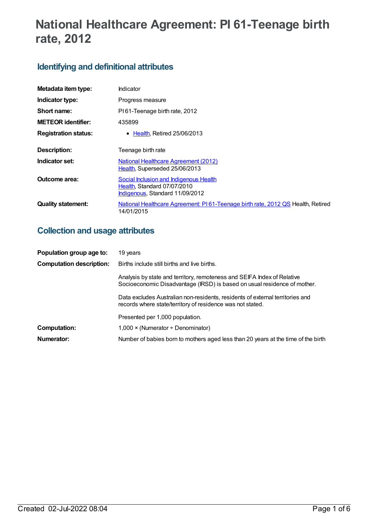# **National Healthcare Agreement: PI 61-Teenage birth rate, 2012**

# **Identifying and definitional attributes**

| Metadata item type:         | <b>Indicator</b>                                                                                         |
|-----------------------------|----------------------------------------------------------------------------------------------------------|
| Indicator type:             | Progress measure                                                                                         |
| Short name:                 | PI61-Teenage birth rate, 2012                                                                            |
| <b>METEOR identifier:</b>   | 435899                                                                                                   |
| <b>Registration status:</b> | $\bullet$ Health, Retired 25/06/2013                                                                     |
| <b>Description:</b>         | Teenage birth rate                                                                                       |
| Indicator set:              | <b>National Healthcare Agreement (2012)</b><br>Health, Superseded 25/06/2013                             |
| Outcome area:               | Social Inclusion and Indigenous Health<br>Health, Standard 07/07/2010<br>Indigenous, Standard 11/09/2012 |
| <b>Quality statement:</b>   | National Healthcare Agreement: P161-Teenage birth rate, 2012 QS Health, Retired<br>14/01/2015            |

# **Collection and usage attributes**

| Population group age to:        | 19 years                                                                                                                                            |
|---------------------------------|-----------------------------------------------------------------------------------------------------------------------------------------------------|
| <b>Computation description:</b> | Births include still births and live births.                                                                                                        |
|                                 | Analysis by state and territory, remoteness and SEIFA Index of Relative<br>Socioeconomic Disadvantage (IRSD) is based on usual residence of mother. |
|                                 | Data excludes Australian non-residents, residents of external territories and<br>records where state/territory of residence was not stated.         |
|                                 | Presented per 1,000 population.                                                                                                                     |
| <b>Computation:</b>             | $1,000 \times (N$ umerator ÷ Denominator)                                                                                                           |
| Numerator:                      | Number of babies born to mothers aged less than 20 years at the time of the birth                                                                   |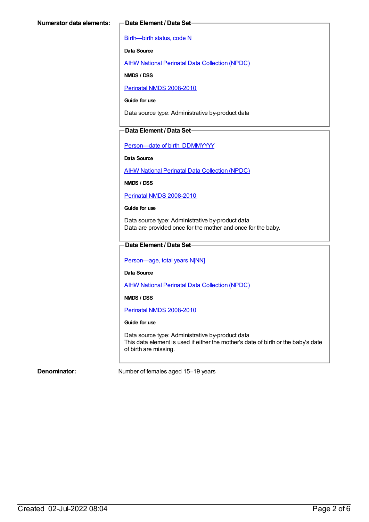[Birth—birth](https://meteor.aihw.gov.au/content/269949) status, code N

**Data Source**

AIHW National Perinatal Data [Collection](https://meteor.aihw.gov.au/content/392479) (NPDC)

**NMDS / DSS**

Perinatal NMDS [2008-2010](https://meteor.aihw.gov.au/content/362313)

**Guide for use**

Data source type: Administrative by-product data

#### **Data Element / Data Set**

[Person—date](https://meteor.aihw.gov.au/content/287007) of birth, DDMMYYYY

#### **Data Source**

AIHW National Perinatal Data [Collection](https://meteor.aihw.gov.au/content/392479) (NPDC)

**NMDS / DSS**

Perinatal NMDS [2008-2010](https://meteor.aihw.gov.au/content/362313)

#### **Guide for use**

Data source type: Administrative by-product data Data are provided once for the mother and once for the baby.

### **Data Element / Data Set**

Person-age, total years N[NN]

**Data Source**

AIHW National Perinatal Data [Collection](https://meteor.aihw.gov.au/content/392479) (NPDC)

**NMDS / DSS**

Perinatal NMDS [2008-2010](https://meteor.aihw.gov.au/content/362313)

#### **Guide for use**

Data source type: Administrative by-product data This data element is used if either the mother's date of birth or the baby's date of birth are missing.

**Denominator:** Number of females aged 15–19 years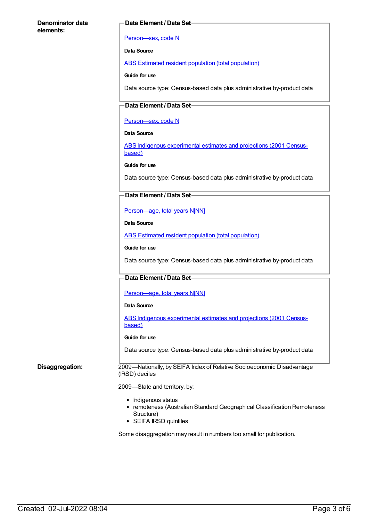#### **Denominator data elements:**

#### **Data Element / Data Set**

#### [Person—sex,](https://meteor.aihw.gov.au/content/287316) code N

**Data Source**

ABS Estimated resident population (total [population\)](https://meteor.aihw.gov.au/content/393625)

**Guide for use**

Data source type: Census-based data plus administrative by-product data

### **Data Element / Data Set**

#### [Person—sex,](https://meteor.aihw.gov.au/content/287316) code N

#### **Data Source**

ABS Indigenous [experimental](https://meteor.aihw.gov.au/content/394092) estimates and projections (2001 Censusbased)

#### **Guide for use**

Data source type: Census-based data plus administrative by-product data

#### **Data Element / Data Set**

[Person—age,](https://meteor.aihw.gov.au/content/303794) total years N[NN]

#### **Data Source**

ABS Estimated resident population (total [population\)](https://meteor.aihw.gov.au/content/393625)

#### **Guide for use**

Data source type: Census-based data plus administrative by-product data

#### **Data Element / Data Set**

#### Person-age, total years N[NN]

#### **Data Source**

ABS Indigenous [experimental](https://meteor.aihw.gov.au/content/394092) estimates and projections (2001 Censusbased)

#### **Guide for use**

Data source type: Census-based data plus administrative by-product data

**Disaggregation:** 2009—Nationally, by SEIFA Index of Relative Socioeconomic Disadvantage (IRSD) deciles

#### 2009—State and territory, by:

- Indigenous status
- remoteness (Australian Standard Geographical Classification Remoteness Structure)
- SEIFA IRSD quintiles

Some disaggregation may result in numbers too small for publication.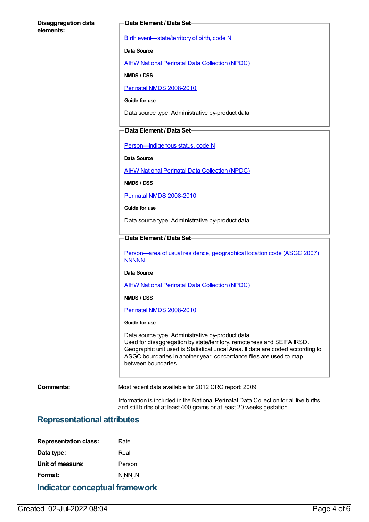#### **Disaggregation data elements:**

#### **Data Element / Data Set**

Birth [event—state/territory](https://meteor.aihw.gov.au/content/270151) of birth, code N

**Data Source**

AIHW National Perinatal Data [Collection](https://meteor.aihw.gov.au/content/392479) (NPDC)

**NMDS / DSS**

Perinatal NMDS [2008-2010](https://meteor.aihw.gov.au/content/362313)

**Guide for use**

Data source type: Administrative by-product data

#### **Data Element / Data Set**

[Person—Indigenous](https://meteor.aihw.gov.au/content/291036) status, code N

**Data Source**

AIHW National Perinatal Data [Collection](https://meteor.aihw.gov.au/content/392479) (NPDC)

**NMDS / DSS**

Perinatal NMDS [2008-2010](https://meteor.aihw.gov.au/content/362313)

**Guide for use**

Data source type: Administrative by-product data

## **Data Element / Data Set**

[Person—area](https://meteor.aihw.gov.au/content/362291) of usual residence, geographical location code (ASGC 2007) **NNNNN** 

**Data Source**

AIHW National Perinatal Data [Collection](https://meteor.aihw.gov.au/content/392479) (NPDC)

#### **NMDS / DSS**

Perinatal NMDS [2008-2010](https://meteor.aihw.gov.au/content/362313)

#### **Guide for use**

Data source type: Administrative by-product data Used for disaggregation by state/territory, remoteness and SEIFA IRSD. Geographic unit used is Statistical Local Area. If data are coded according to ASGC boundaries in another year, concordance files are used to map between boundaries.

**Comments:** Most recent data available for 2012 CRC report: 2009

Information is included in the National Perinatal Data Collection for all live births and still births of at least 400 grams or at least 20 weeks gestation.

## **Representational attributes**

| <b>Indicator conceptual framework</b> |         |  |
|---------------------------------------|---------|--|
| Format:                               | N[NN].N |  |
| Unit of measure:                      | Person  |  |
| Data type:                            | Real    |  |
| <b>Representation class:</b>          | Rate    |  |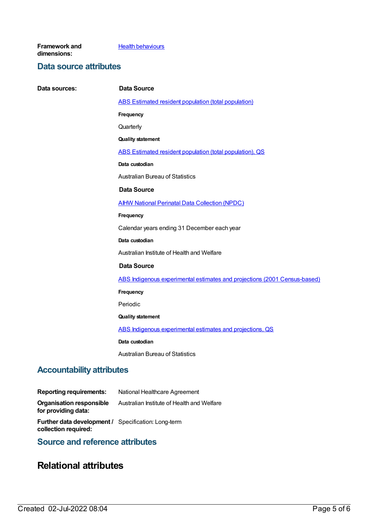**Framework and dimensions:**

#### **Health [behaviours](https://meteor.aihw.gov.au/content/392579)**

## **Data source attributes**

**Data sources: Data Source** ABS Estimated resident population (total [population\)](https://meteor.aihw.gov.au/content/393625) **Frequency Quarterly Quality statement** ABS Estimated resident population (total [population\),](https://meteor.aihw.gov.au/content/449216) QS **Data custodian** Australian Bureau of Statistics **Data Source** AIHW National Perinatal Data [Collection](https://meteor.aihw.gov.au/content/392479) (NPDC) **Frequency** Calendar years ending 31 December each year **Data custodian** Australian Institute of Health and Welfare **Data Source** ABS Indigenous experimental estimates and projections (2001 [Census-based\)](https://meteor.aihw.gov.au/content/394092) **Frequency** Periodic **Quality statement** ABS Indigenous [experimental](https://meteor.aihw.gov.au/content/449223) estimates and projections, QS **Data custodian** Australian Bureau of Statistics

# **Accountability attributes**

| <b>Reporting requirements:</b>                                                     | National Healthcare Agreement              |
|------------------------------------------------------------------------------------|--------------------------------------------|
| Organisation responsible<br>for providing data:                                    | Australian Institute of Health and Welfare |
| <b>Further data development / Specification: Long-term</b><br>collection required: |                                            |
|                                                                                    |                                            |

# **Source and reference attributes**

# **Relational attributes**